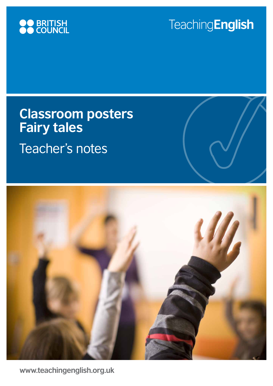

# **Teaching English**

# **Classroom posters Fairy tales**  Teacher's notes



**www.teachingenglish.org.uk**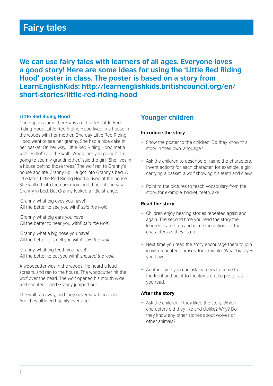## **Fairy tales**

**We can use fairy tales with learners of all ages. Everyone loves a good story! Here are some ideas for using the 'Little Red Riding Hood' poster in class. The poster is based on a story from LearnEnglishKids: http://learnenglishkids.britishcouncil.org/en/ short-stories/little-red-riding-hood**

#### **Little Red Riding Hood**

Once upon a time there was a girl called Little Red Riding Hood. Little Red Riding Hood lived in a house in the woods with her mother. One day Little Red Riding Hood went to see her granny. She had a nice cake in her basket. On her way, Little Red Riding Hood met a wolf. 'Hello!' said the wolf. 'Where are you going?' 'I'm going to see my grandmother,' said the girl. 'She lives in a house behind those trees.' The wolf ran to Granny's house and ate Granny up. He got into Granny's bed. A little later, Little Red Riding Hood arrived at the house. She walked into the dark room and thought she saw Granny in bed. But Granny looked a little strange.

'Granny, what big eyes you have!' 'All the better to see you with!' *said the wolf.*

'Granny, what big ears you have!' 'All the better to hear you with!' *said the wolf.*

'Granny, what a big nose you have!' 'All the better to smell you with!' *said the wolf.*

'Granny, what big teeth you have!' 'All the better to eat you with!' *shouted the wolf.*

A woodcutter was in the woods. He heard a loud scream, and ran to the house. The woodcutter hit the wolf over the head. The wolf opened his mouth wide and shouted – and Granny jumped out.

The wolf ran away, and they never saw him again. And they all lived happily ever after.

### **Younger children**

#### **Introduce the story**

- Show the poster to the children. Do they know this story in their own language?
- Ask the children to describe or name the characters. Invent actions for each character, for example: a girl carrying a basket, a wolf showing his teeth and claws.
- Point to the pictures to teach vocabulary from the story, for example: basket, teeth, axe.

#### **Read the story**

- Children enjoy hearing stories repeated again and again. The second time you read the story the learners can listen and mime the actions of the characters as they listen.
- Next time you read the story encourage them to join in with repeated phrases, for example: 'What big eyes you have!'
- Another time you can ask learners to come to the front and point to the items on the poster as you read.

#### **After the story**

• Ask the children if they liked the story. Which characters did they like and dislike? Why? Do they know any other stories about wolves or other animals?